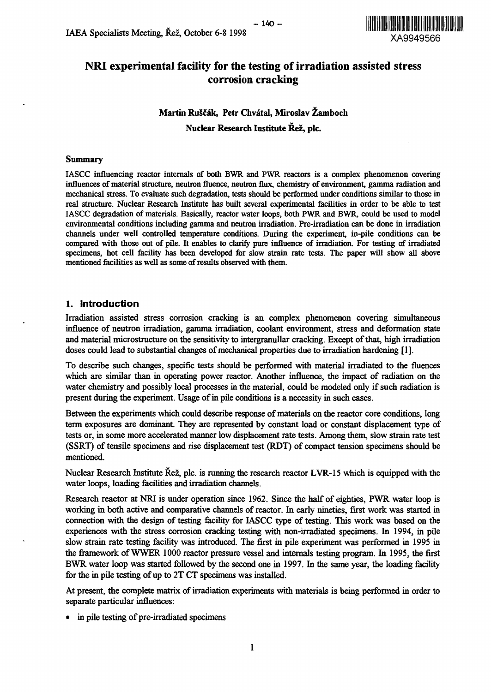

# NRI experimental facility for the testing of irradiation assisted stress corrosion cracking

 $-140-$ 

# **Martin RuScak, Petr Chvatal, Miroslav Zamboch Nuclear Research Institute Rez, pic.**

#### **Summary**

IASCC influencing reactor internals of both BWR and PWR reactors is a complex phenomenon covering influences of material structure, neutron fluence, neutron flux, chemistry of environment, gamma radiation and mechanical stress. To evaluate such degradation, tests should be performed under conditions similar to those in real structure. Nuclear Research Institute has built several experimental facilities in order to be able to test IASCC degradation of materials. Basically, reactor water loops, both PWR and BWR, could be used to model environmental conditions including gamma and neutron irradiation. Pre-irradiation can be done in irradiation channels under well controlled temperature conditions. During the experiment, in-pile conditions can be compared with those out of pile. It enables to clarify pure influence of irradiation. For testing of irradiated specimens, hot cell facility has been developed for slow strain rate tests. The paper will show all above mentioned facilities as well as some of results observed with them.

### **1. Introduction**

Irradiation assisted stress corrosion cracking is an complex phenomenon covering simultaneous influence of neutron irradiation, gamma irradiation, coolant environment, stress and deformation state and material microstructure on the sensitivity to intergranullar cracking. Except of that, high irradiation doses could lead to substantial changes of mechanical properties due to irradiation hardening [1].

To describe such changes, specific tests should be performed with material irradiated to the fluences which are similar than in operating power reactor. Another influence, the impact of radiation on the water chemistry and possibly local processes in the material, could be modeled only if such radiation is present during the experiment. Usage of in pile conditions is a necessity in such cases.

Between the experiments which could describe response of materials on the reactor core conditions, long term exposures are dominant. They are represented by constant load or constant displacement type of tests or, in some more accelerated manner low displacement rate tests. Among them, slow strain rate test (SSRT) of tensile specimens and rise displacement test (RDT) of compact tension specimens should be mentioned.

Nuclear Research Institute Rez, pic. is running the research reactor LVR-15 which is equipped with the water loops, loading facilities and irradiation channels.

Research reactor at NRI is under operation since 1962. Since the half of eighties, PWR water loop is working in both active and comparative channels of reactor. In early nineties, first work was started in connection with the design of testing facility for IASCC type of testing. This work was based on the experiences with the stress corrosion cracking testing with non-irradiated specimens. In 1994, in pile slow strain rate testing facility was introduced. The first in pile experiment was performed in 1995 in the framework of WWER 1000 reactor pressure vessel and internals testing program. In 1995, the first BWR water loop was started followed by the second one in 1997. In the same year, the loading facility for the in pile testing of up to 2T CT specimens was installed.

At present, the complete matrix of irradiation experiments with materials is being performed in order to separate particular influences:

• in pile testing of pre-irradiated specimens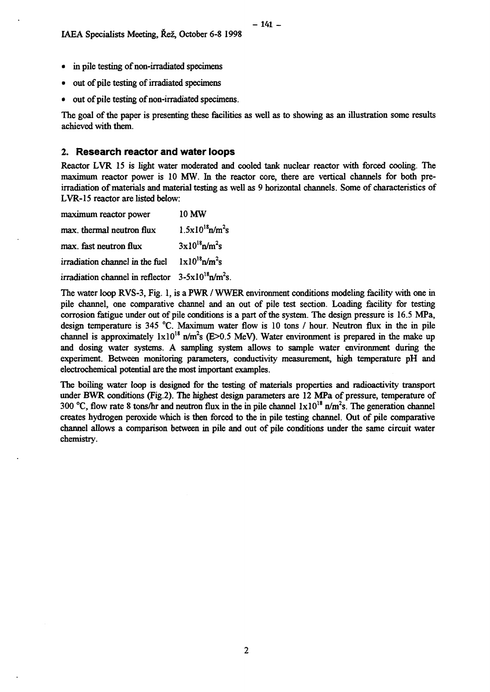- in pile testing of non-irradiated specimens
- out of pile testing of irradiated specimens
- out of pile testing of non-irradiated specimens.

The goal of the paper is presenting these facilities as well as to showing as an illustration some results achieved with them.

#### **2. Research reactor and water loops**

Reactor LVR 15 is light water moderated and cooled tank nuclear reactor with forced cooling. The maximum reactor power is 10 MW. In the reactor core, there are vertical channels for both preirradiation of materials and material testing as well as 9 horizontal channels. Some of characteristics of LVR-15 reactor are listed below:

| maximum reactor power                                                        | <b>10 MW</b>                     |
|------------------------------------------------------------------------------|----------------------------------|
| max, thermal neutron flux                                                    | $1.5x10^{18}$ n/m <sup>2</sup> s |
| max. fast neutron flux                                                       | $3x10^{18}$ n/m <sup>2</sup> s   |
| irradiation channel in the fuel                                              | $1x10^{18}$ n/m <sup>2</sup> s   |
| irradiation channel in reflector $3-5 \times 10^{18} \text{n/m}^2\text{s}$ . |                                  |

The water loop RVS-3, Fig. 1, is a PWR / WWER environment conditions modeling facility with one in pile channel, one comparative channel and an out of pile test section. Loading facility for testing corrosion fatigue under out of pile conditions is a part of the system. The design pressure is 16.5 MPa, design temperature is 345 °C. Maximum water flow is 10 tons / hour. Neutron flux in the in pile channel is approximately  $1 \times 10^{18}$  n/m<sup>2</sup>s (E>0.5 MeV). Water environment is prepared in the make up and dosing water systems. A sampling system allows to sample water environment during the experiment. Between monitoring parameters, conductivity measurement, high temperature pH and electrochemical potential are the most important examples.

The boiling water loop is designed for the testing of materials properties and radioactivity transport under BWR conditions (Fig.2). The highest design parameters are 12 MPa of pressure, temperature of 300 °C, flow rate 8 tons/hr and neutron flux in the in pile channel  $1 \times 10^{18}$  n/m<sup>2</sup>s. The generation channel creates hydrogen peroxide which is then forced to the in pile testing channel. Out of pile comparative channel allows a comparison between in pile and out of pile conditions under the same circuit water chemistry.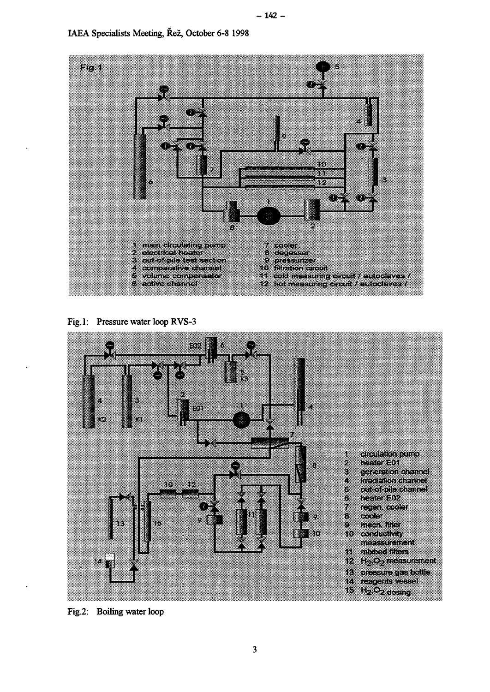

Fig. 1: Pressure water loop RVS-3



Fig.2: Boiling water loop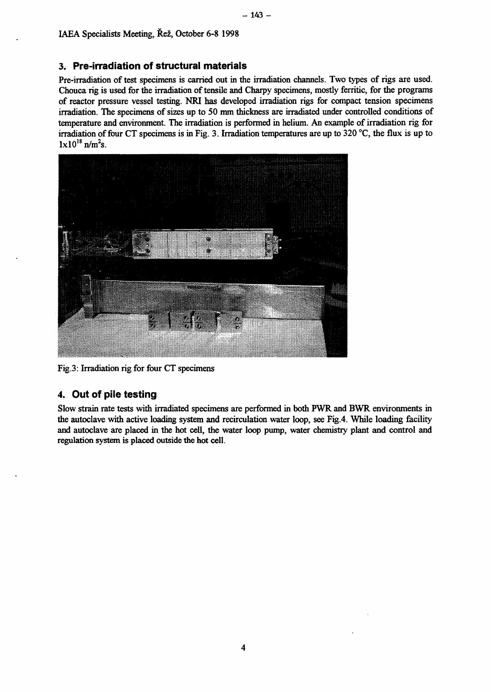## **3. Pre-irradiation of structural materials**

Pre-irradiation of test specimens is carried out in the irradiation channels. Two types of rigs are used. Chouca rig is used for the irradiation of tensile and Charpy specimens, mostly ferritic, for the programs of reactor pressure vessel testing. NRI has developed irradiation rigs for compact tension specimens irradiation. The specimens of sizes up to 50 mm thickness are irradiated under controlled conditions of temperature and environment. The irradiation is performed in helium. An example of irradiation rig for irradiation of four CT specimens is in Fig. 3. Irradiation temperatures are up to 320 °C, the flux is up to  $1 \times 10^{18}$  n/m<sup>2</sup>s.



Fig.3: Irradiation rig for four CT specimens

### **4. Out of pile testing**

Slow strain rate tests with irradiated specimens are performed in both PWR and BWR environments in the autoclave with active loading system and recirculation water loop, see Fig.4. While loading facility and autoclave are placed in the hot cell, the water loop pump, water chemistry plant and control and regulation system is placed outside the hot cell.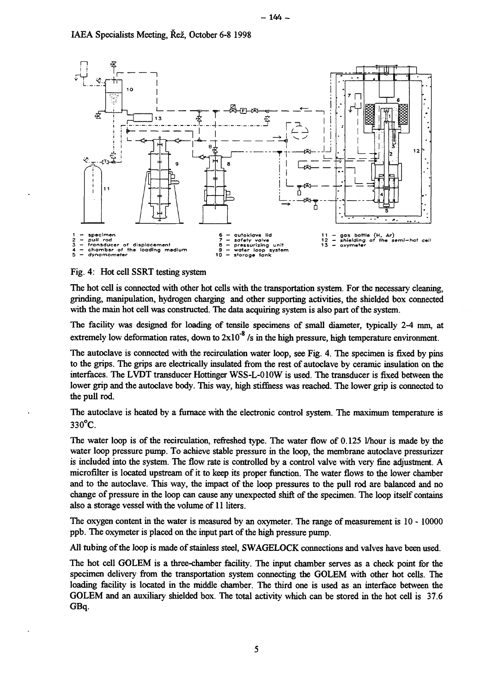

#### Fig. 4: Hot cell SSRT testing system

The hot cell is connected with other hot cells with the transportation system. For the necessary cleaning, grinding, manipulation, hydrogen charging and other supporting activities, the shielded box connected with the main hot cell was constructed. The data acquiring system is also part of the system.

The facility was designed for loading of tensile specimens of small diameter, typically 2-4 mm, at extremely low deformation rates, down to  $2x10^{-8}$  /s in the high pressure, high temperature environment.

The autoclave is connected with the recirculation water loop, see Fig. 4. The specimen is fixed by pins to the grips. The grips are electrically insulated from the rest of autoclave by ceramic insulation on the interfaces. The LVDT transducer Hottinger WSS-L-010W is used. The transducer is fixed between the lower grip and the autoclave body. This way, high stiffness was reached. The lower grip is connected to the pull rod.

The autoclave is heated by a furnace with the electronic control system. The maximum temperature is  $330^{\circ}$ C.

The water loop is of the recirculation, refreshed type. The water flow of 0.125 I/hour is made by the water loop pressure pump. To achieve stable pressure in the loop, the membrane autoclave pressurizer is included into the system. The flow rate is controlled by a control valve with very fine adjustment. A microfilter is located upstream of it to keep its proper function. The water flows to the lower chamber and to the autoclave. This way, the impact of the loop pressures to the pull rod are balanced and no change of pressure in the loop can cause any unexpected shift of the specimen. The loop itself contains also a storage vessel with the volume of 11 liters.

The oxygen content in the water is measured by an oxymeter. The range of measurement is 10 - 10000 ppb. The oxymeter is placed on the input part of the high pressure pump.

All tubing of the loop is made of stainless steel, SWAGELOCK connections and valves have been used.

The hot cell GOLEM is a three-chamber facility. The input chamber serves as a check point for the specimen delivery from the transportation system connecting the GOLEM with other hot cells. The loading facility is located in the middle chamber. The third one is used as an interface between the GOLEM and an auxiliary shielded box. The total activity which can be stored in the hot cell is 37.6 GBq.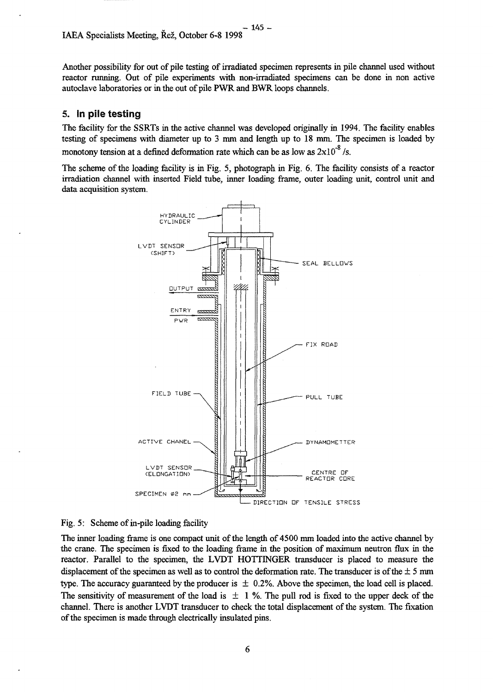Another possibility for out of pile testing of irradiated specimen represents in pile channel used without reactor running. Out of pile experiments with non-irradiated specimens can be done in non active autoclave laboratories or in the out of pile PWR and BWR loops channels.

## 5. In pile testing

The facility for the SSRTs in the active channel was developed originally in 1994. The facility enables testing of specimens with diameter up to 3 mm and length up to 18 mm. The specimen is loaded by monotony tension at a defined deformation rate which can be as low as  $2 \times 10^{-8}$  /s.

The scheme of the loading facility is in Fig. 5, photograph in Fig. 6. The facility consists of a reactor irradiation channel with inserted Field tube, inner loading frame, outer loading unit, control unit and data acquisition system.





The inner loading frame is one compact unit of the length of 4500 mm loaded into the active channel by the crane. The specimen is fixed to the loading frame in the position of maximum neutron flux in the reactor. Parallel to the specimen, the LVDT HOTTINGER transducer is placed to measure the displacement of the specimen as well as to control the deformation rate. The transducer is of the  $\pm$  5 mm type. The accuracy guaranteed by the producer is  $\pm$  0.2%. Above the specimen, the load cell is placed. The sensitivity of measurement of the load is  $\pm$  1 %. The pull rod is fixed to the upper deck of the channel. There is another LVDT transducer to check the total displacement of the system. The fixation of the specimen is made through electrically insulated pins.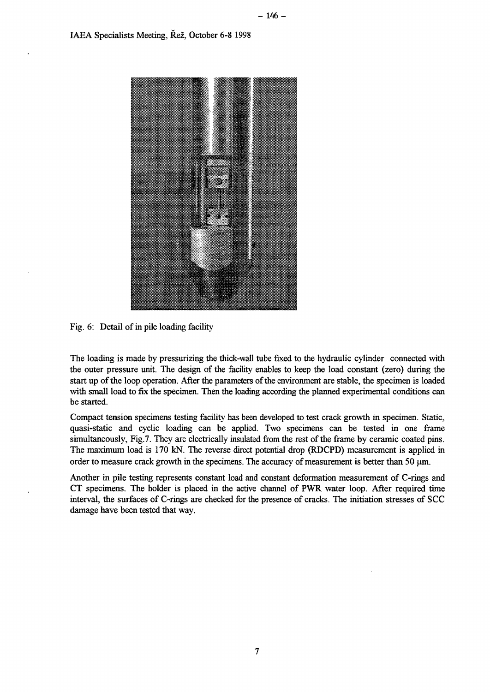

Fig. 6: Detail of in pile loading facility

The loading is made by pressurizing the thick-wall tube fixed to the hydraulic cylinder connected with the outer pressure unit. The design of the facility enables to keep the load constant (zero) during the start up of the loop operation. After the parameters of the environment are stable, the specimen is loaded with small load to fix the specimen. Then the loading according the planned experimental conditions can be started.

Compact tension specimens testing facility has been developed to test crack growth in specimen. Static, quasi-static and cyclic loading can be applied. Two specimens can be tested in one frame simultaneously, Fig.7. They are electrically insulated from the rest of the frame by ceramic coated pins. The maximum load is 170 kN. The reverse direct potential drop (RDCPD) measurement is applied in order to measure crack growth in the specimens. The accuracy of measurement is better than 50  $\mu$ m.

Another in pile testing represents constant load and constant deformation measurement of C-rings and CT specimens. The holder is placed in the active channel of PWR water loop. After required time interval, the surfaces of C-rings are checked for the presence of cracks. The initiation stresses of SCC damage have been tested that way.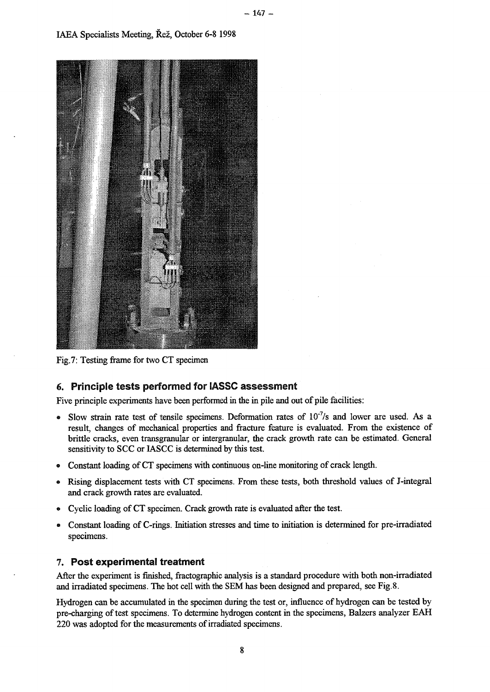

Fig.7: Testing frame for two CT specimen

# 6. Principle tests performed for IASSC assessment

Five principle experiments have been performed in the in pile and out of pile facilities:

- Slow strain rate test of tensile specimens. Deformation rates of  $10^{-7}/s$  and lower are used. As a result, changes of mechanical properties and fracture feature is evaluated. From the existence of brittle cracks, even transgranular or intergranular, the crack growth rate can be estimated. General sensitivity to SCC or IASCC is determined by this test.
- » Constant loading of CT specimens with continuous on-line monitoring of crack length.
- » Rising displacement tests with CT specimens. From these tests, both threshold values of J-integral and crack growth rates are evaluated.
- \* Cyclic loading of CT specimen. Crack growth rate is evaluated after the test.
- « Constant loading of C-rings. Initiation stresses and time to initiation is determined for pre-irradiated specimens.

### 7. Post experimental treatment

After the experiment is finished, fractographic analysis is a standard procedure with both non-irradiated and irradiated specimens. The hot cell with the SEM has been designed and prepared, see Fig.8.

Hydrogen can be accumulated in the specimen during the test or, influence of hydrogen can be tested by pre-charging of test specimens. To determine hydrogen content in the specimens, Balzers analyzer EAH 220 was adopted for the measurements of irradiated specimens.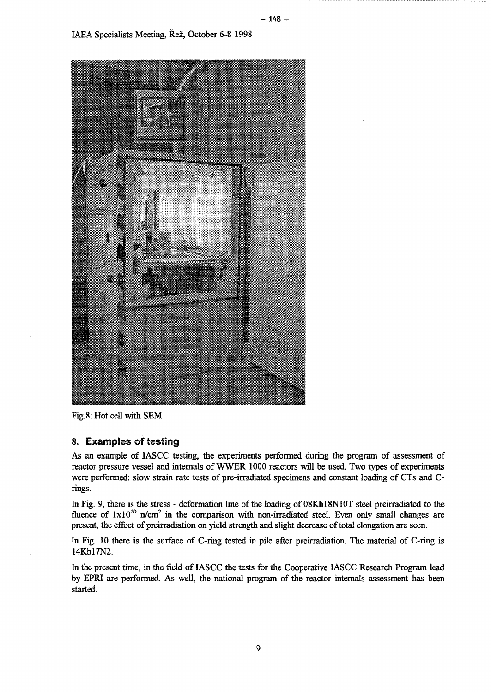

Fig. 8: Hot cell with SEM

### 8. Examples of testing

As an example of IASCC testing, the experiments performed during the program of assessment of reactor pressure vessel and internals of WWER 1000 reactors will be used. Two types of experiments were performed: slow strain rate tests of pre-irradiated specimens and constant loading of CTs and Crings.

In Fig. 9, there is the stress - deformation line of the loading of 08Kh18N10T steel preirradiated to the fluence of  $1 \times 10^{20}$  n/cm<sup>2</sup> in the comparison with non-irradiated steel. Even only small changes are present, the effect of preirradiation on yield strength and slight decrease of total elongation are seen.

In Fig. 10 there is the surface of C-ring tested in pile after preirradiation. The material of C-ring is 14Khl7N2.

In the present time, in the field of IASCC the tests for the Cooperative IASCC Research Program lead by EPRI are performed. As well, the national program of the reactor internals assessment has been started.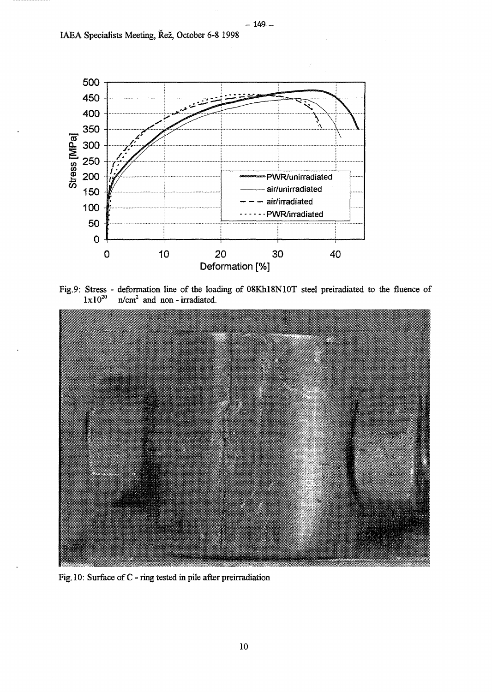

Fig.9: Stress - deformation line of the loading of 08Khl8N10T steel preiradiated to the fluence of  $1 \times 10^{20}$  $n/cm<sup>2</sup>$  and non - irradiated.



Fig. 10: Surface of C - ring tested in pile after preirradiation